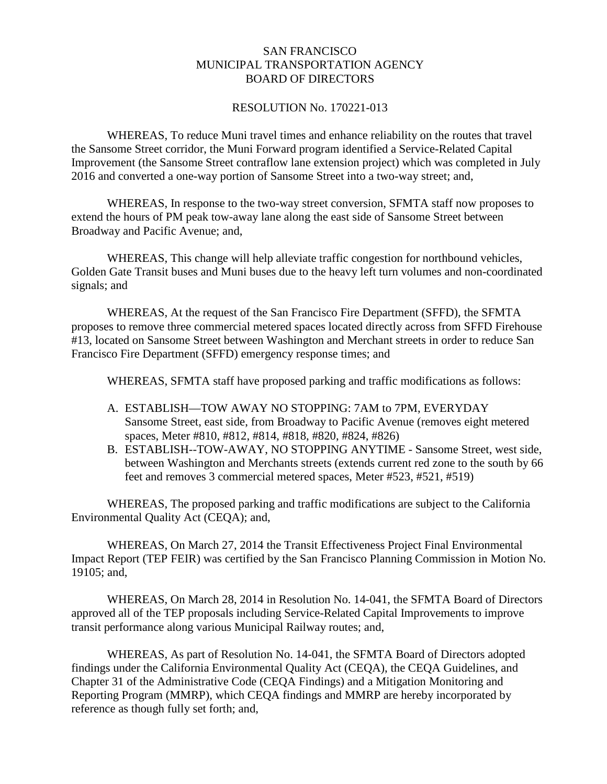## SAN FRANCISCO MUNICIPAL TRANSPORTATION AGENCY BOARD OF DIRECTORS

## RESOLUTION No. 170221-013

WHEREAS, To reduce Muni travel times and enhance reliability on the routes that travel the Sansome Street corridor, the Muni Forward program identified a Service-Related Capital Improvement (the Sansome Street contraflow lane extension project) which was completed in July 2016 and converted a one-way portion of Sansome Street into a two-way street; and,

WHEREAS, In response to the two-way street conversion, SFMTA staff now proposes to extend the hours of PM peak tow-away lane along the east side of Sansome Street between Broadway and Pacific Avenue; and,

WHEREAS, This change will help alleviate traffic congestion for northbound vehicles, Golden Gate Transit buses and Muni buses due to the heavy left turn volumes and non-coordinated signals; and

WHEREAS, At the request of the San Francisco Fire Department (SFFD), the SFMTA proposes to remove three commercial metered spaces located directly across from SFFD Firehouse #13, located on Sansome Street between Washington and Merchant streets in order to reduce San Francisco Fire Department (SFFD) emergency response times; and

WHEREAS, SFMTA staff have proposed parking and traffic modifications as follows:

- A. ESTABLISH—TOW AWAY NO STOPPING: 7AM to 7PM, EVERYDAY Sansome Street, east side, from Broadway to Pacific Avenue (removes eight metered spaces, Meter #810, #812, #814, #818, #820, #824, #826)
- B. ESTABLISH--TOW-AWAY, NO STOPPING ANYTIME Sansome Street, west side, between Washington and Merchants streets (extends current red zone to the south by 66 feet and removes 3 commercial metered spaces, Meter #523, #521, #519)

WHEREAS, The proposed parking and traffic modifications are subject to the California Environmental Quality Act (CEQA); and,

WHEREAS, On March 27, 2014 the Transit Effectiveness Project Final Environmental Impact Report (TEP FEIR) was certified by the San Francisco Planning Commission in Motion No. 19105; and,

WHEREAS, On March 28, 2014 in Resolution No. 14-041, the SFMTA Board of Directors approved all of the TEP proposals including Service-Related Capital Improvements to improve transit performance along various Municipal Railway routes; and,

WHEREAS, As part of Resolution No. 14-041, the SFMTA Board of Directors adopted findings under the California Environmental Quality Act (CEQA), the CEQA Guidelines, and Chapter 31 of the Administrative Code (CEQA Findings) and a Mitigation Monitoring and Reporting Program (MMRP), which CEQA findings and MMRP are hereby incorporated by reference as though fully set forth; and,